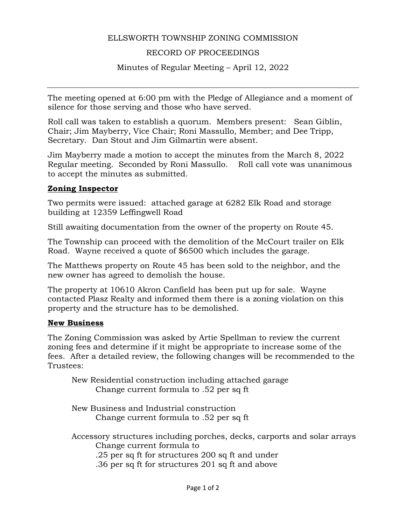## ELLSWORTH TOWNSHIP ZONING COMMISSION

# RECORD OF PROCEEDINGS

Minutes of Regular Meeting – April 12, 2022

The meeting opened at 6:00 pm with the Pledge of Allegiance and a moment of silence for those serving and those who have served.

Roll call was taken to establish a quorum. Members present: Sean Giblin, Chair; Jim Mayberry, Vice Chair; Roni Massullo, Member; and Dee Tripp, Secretary. Dan Stout and Jim Gilmartin were absent.

Jim Mayberry made a motion to accept the minutes from the March 8, 2022 Regular meeting. Seconded by Roni Massullo. Roll call vote was unanimous to accept the minutes as submitted.

### **Zoning Inspector**

Two permits were issued: attached garage at 6282 Elk Road and storage building at 12359 Leffingwell Road

Still awaiting documentation from the owner of the property on Route 45.

The Township can proceed with the demolition of the McCourt trailer on Elk Road. Wayne received a quote of \$6500 which includes the garage.

The Matthews property on Route 45 has been sold to the neighbor, and the new owner has agreed to demolish the house.

The property at 10610 Akron Canfield has been put up for sale. Wayne contacted Plasz Realty and informed them there is a zoning violation on this property and the structure has to be demolished.

#### **New Business**

The Zoning Commission was asked by Artie Spellman to review the current zoning fees and determine if it might be appropriate to increase some of the fees. After a detailed review, the following changes will be recommended to the Trustees:

New Residential construction including attached garage Change current formula to .52 per sq ft

New Business and Industrial construction Change current formula to .52 per sq ft

Accessory structures including porches, decks, carports and solar arrays Change current formula to .25 per sq ft for structures 200 sq ft and under

.36 per sq ft for structures 201 sq ft and above